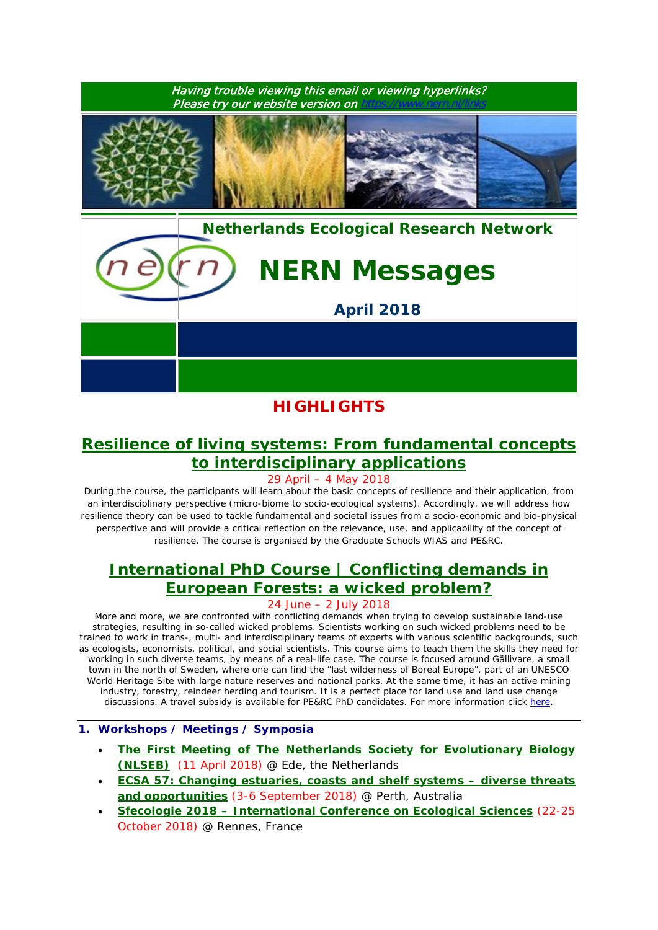

# **HIGHLIGHTS**

### **[Resilience of living systems: From fundamental concepts](https://www.wur.nl/en/activity/Resilience-of-living-systems-from-fundamental-concepts-to-interdisciplinary-applications.htm)  [to interdisciplinary applications](https://www.wur.nl/en/activity/Resilience-of-living-systems-from-fundamental-concepts-to-interdisciplinary-applications.htm)**

29 April – 4 May 2018

*During the course, the participants will learn about the basic concepts of resilience and their application, from an interdisciplinary perspective (micro-biome to socio-ecological systems). Accordingly, we will address how*  resilience theory can be used to tackle fundamental and societal issues from a socio-economic and bio-physical *perspective and will provide a critical reflection on the relevance, use, and applicability of the concept of resilience. The course is organised by the Graduate Schools WIAS and PE&RC.*

## **[International PhD Course | Conflicting demands in](https://www.pe-rc.nl/european-forestry)  [European Forests: a wicked problem?](https://www.pe-rc.nl/european-forestry)**

### 24 June – 2 July 2018

*More and more, we are confronted with conflicting demands when trying to develop sustainable land-use strategies, resulting in so-called wicked problems. Scientists working on such wicked problems need to be trained to work in trans-, multi- and interdisciplinary teams of experts with various scientific backgrounds, such as ecologists, economists, political, and social scientists. This course aims to teach them the skills they need for working in such diverse teams, by means of a real-life case. The course is focused around Gällivare, a small town in the north of Sweden, where one can find the "last wilderness of Boreal Europe", part of an UNESCO World Heritage Site with large nature reserves and national parks. At the same time, it has an active mining*  industry, forestry, reindeer herding and tourism. It is a perfect place for land use and land use change *discussions. A travel subsidy is available for PE&RC PhD candidates. For more information click [here.](https://www.pe-rc.nl/european-forestry)*

#### **1. Workshops / Meetings / Symposia**

- **[The First Meeting of The Netherlands Society for Evolutionary Biology](http://nlseb.nl/meetings/)  [\(NLSEB\)](http://nlseb.nl/meetings/)** (11 April 2018) @ Ede, the Netherlands
- **[ECSA 57: Changing estuaries, coasts and shelf systems –](http://www.estuarinecoastalconference.com/) diverse threats [and opportunities](http://www.estuarinecoastalconference.com/)** (3-6 September 2018) @ Perth, Australia
- **Sfecologie 2018 – [International Conference on Ecological Sciences](https://sfecologie2018.sciencesconf.org/)** (22-25 October 2018) @ Rennes, France